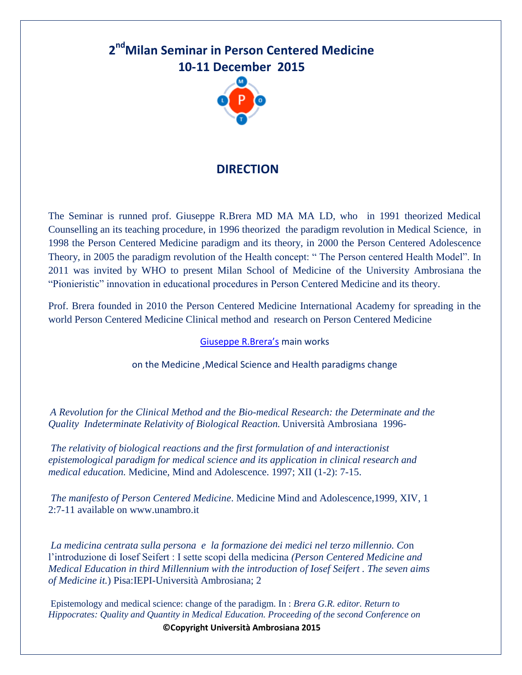# **2 ndMilan Seminar in Person Centered Medicine 10-11 December 2015**



### **DIRECTION**

The Seminar is runned prof. Giuseppe R.Brera MD MA MA LD, who in 1991 theorized Medical Counselling an its teaching procedure, in 1996 theorized the paradigm revolution in Medical Science, in 1998 the Person Centered Medicine paradigm and its theory, in 2000 the Person Centered Adolescence Theory, in 2005 the paradigm revolution of the Health concept: " The Person centered Health Model". In 2011 was invited by WHO to present Milan School of Medicine of the University Ambrosiana the "Pionieristic" innovation in educational procedures in Person Centered Medicine and its theory.

Prof. Brera founded in 2010 the Person Centered Medicine International Academy for spreading in the world Person Centered Medicine Clinical method and research on Person Centered Medicine

#### [Giuseppe R.Brera's](http://www.unambro.it/html/pdf/GIUSEPPE_RODOLFO_BRERA_Curriculum_1.pdf) main works

on the Medicine ,Medical Science and Health paradigms change

*A Revolution for the Clinical Method and the Bio-medical Research: the Determinate and the Quality Indeterminate Relativity of Biological Reaction.* Università Ambrosiana 1996-

*The relativity of biological reactions and the first formulation of and interactionist epistemological paradigm for medical science and its application in clinical research and medical education.* Medicine, Mind and Adolescence. 1997; XII (1-2): 7-15.

*The manifesto of Person Centered Medicine*. Medicine Mind and Adolescence,1999, XIV, 1 2:7-11 available on www.unambro.it

*La medicina centrata sulla persona e la formazione dei medici nel terzo millennio. Co*n l'introduzione di Iosef Seifert : I sette scopi della medicina *(Person Centered Medicine and Medical Education in third Millennium with the introduction of Iosef Seifert . The seven aims of Medicine it.*) Pisa:IEPI-Università Ambrosiana; 2

Epistemology and medical science: change of the paradigm. In : *Brera G.R. editor. Return to Hippocrates: Quality and Quantity in Medical Education. Proceeding of the second Conference on* 

**©Copyright Università Ambrosiana 2015**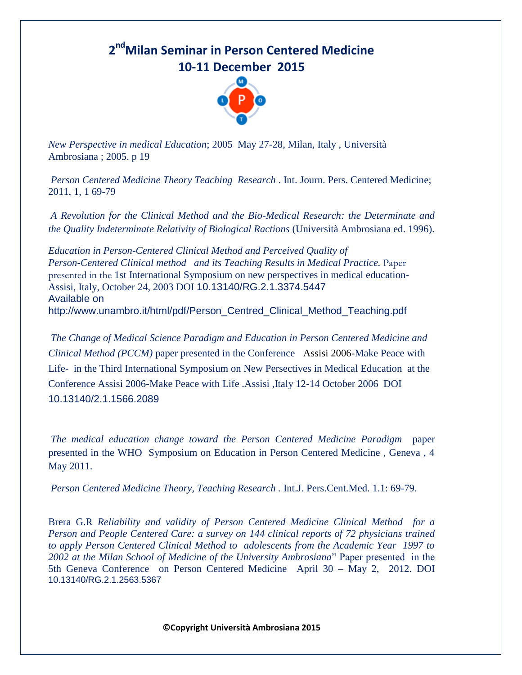## **2 ndMilan Seminar in Person Centered Medicine 10-11 December 2015**



*New Perspective in medical Education*; 2005 May 27-28, Milan, Italy , Università Ambrosiana ; 2005. p 19

*Person Centered Medicine Theory Teaching Research* . Int. Journ. Pers. Centered Medicine; 2011, 1, 1 69-79

*A Revolution for the Clinical Method and the Bio-Medical Research: the Determinate and the Quality Indeterminate Relativity of Biological Ractions* (Università Ambrosiana ed. 1996).

*Education in Person-Centered Clinical Method and Perceived Quality of Person-Centered Clinical method and its Teaching Results in Medical Practice.* Paper presented in the 1st International Symposium on new perspectives in medical education-Assisi, Italy, October 24, 2003 DOI 10.13140/RG.2.1.3374.5447 Available on http://www.unambro.it/html/pdf/Person\_Centred\_Clinical\_Method\_Teaching.pdf

*The Change of Medical Science Paradigm and Education in Person Centered Medicine and Clinical Method (PCCM)* paper presented in the ConferenceAssisi 2006-Make Peace with Life- in the Third International Symposium on New Persectives in Medical Education at the Conference Assisi 2006-Make Peace with Life .Assisi ,Italy 12-14 October 2006 DOI 10.13140/2.1.1566.2089

*The medical education change toward the Person Centered Medicine Paradigm* paper presented in the WHO Symposium on Education in Person Centered Medicine , Geneva , 4 May 2011.

*Person Centered Medicine Theory, Teaching Research . Int.J. Pers.Cent.Med. 1.1: 69-79.* 

Brera G.R *Reliability and validity of Person Centered Medicine Clinical Method for a Person and People Centered Care: a survey on 144 clinical reports of 72 physicians trained to apply Person Centered Clinical Method to adolescents from the Academic Year 1997 to 2002 at the Milan School of Medicine of the University Ambrosiana*" Paper presented in the 5th Geneva Conference on Person Centered Medicine April 30 – May 2, 2012. DOI 10.13140/RG.2.1.2563.5367

**©Copyright Università Ambrosiana 2015**